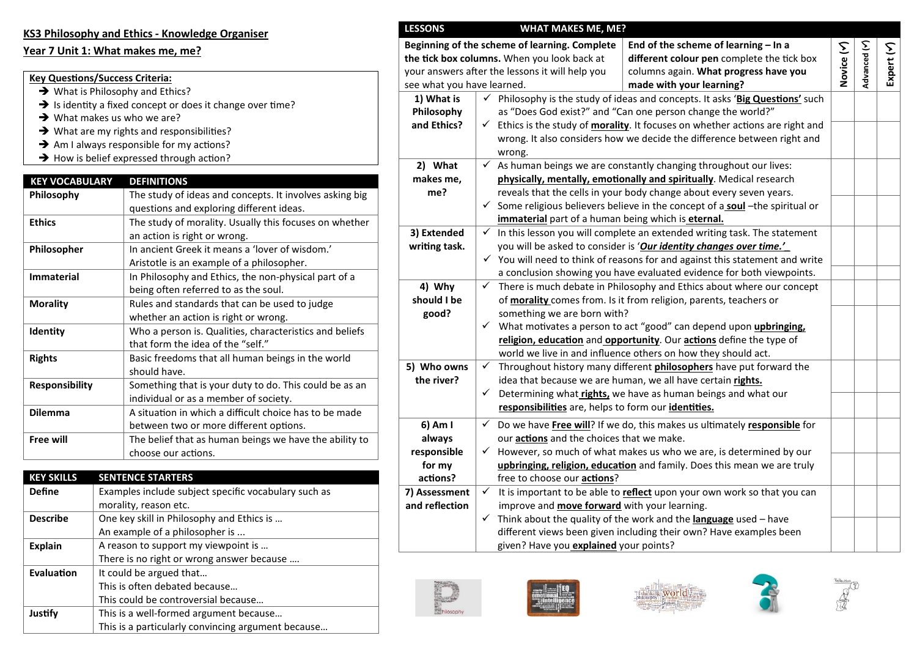#### **KS3 Philosophy and Ethics - Knowledge Organiser**

#### **Year 7 Unit 1: What makes me, me?**

#### **Key Questions/Success Criteria:**

- → What is Philosophy and Ethics?
- $\rightarrow$  Is identity a fixed concept or does it change over time?
- $\rightarrow$  What makes us who we are?
- $\rightarrow$  What are my rights and responsibilities?
- $\rightarrow$  Am I always responsible for my actions?
- $\rightarrow$  How is belief expressed through action?

| <b>KEY VOCABULARY</b> | <b>DEFINITIONS</b>                                      |
|-----------------------|---------------------------------------------------------|
| Philosophy            | The study of ideas and concepts. It involves asking big |
|                       | questions and exploring different ideas.                |
| <b>Ethics</b>         | The study of morality. Usually this focuses on whether  |
|                       | an action is right or wrong.                            |
| <b>Philosopher</b>    | In ancient Greek it means a 'lover of wisdom.'          |
|                       | Aristotle is an example of a philosopher.               |
| <b>Immaterial</b>     | In Philosophy and Ethics, the non-physical part of a    |
|                       | being often referred to as the soul.                    |
| <b>Morality</b>       | Rules and standards that can be used to judge           |
|                       | whether an action is right or wrong.                    |
| Identity              | Who a person is. Qualities, characteristics and beliefs |
|                       | that form the idea of the "self."                       |
| <b>Rights</b>         | Basic freedoms that all human beings in the world       |
|                       | should have.                                            |
| <b>Responsibility</b> | Something that is your duty to do. This could be as an  |
|                       | individual or as a member of society.                   |
| <b>Dilemma</b>        | A situation in which a difficult choice has to be made  |
|                       | between two or more different options.                  |
| <b>Free will</b>      | The belief that as human beings we have the ability to  |
|                       | choose our actions.                                     |

| <b>KEY SKILLS</b> | <b>SENTENCE STARTERS</b>                             |
|-------------------|------------------------------------------------------|
| <b>Define</b>     | Examples include subject specific vocabulary such as |
|                   | morality, reason etc.                                |
| <b>Describe</b>   | One key skill in Philosophy and Ethics is            |
|                   | An example of a philosopher is                       |
| <b>Explain</b>    | A reason to support my viewpoint is                  |
|                   | There is no right or wrong answer because            |
| Evaluation        | It could be argued that                              |
|                   | This is often debated because                        |
|                   | This could be controversial because                  |
| Justify           | This is a well-formed argument because               |
|                   | This is a particularly convincing argument because   |

| <b>LESSONS</b>             |              | <b>WHAT MAKES ME, ME?</b>                           |                                                                                                   |            |              |            |
|----------------------------|--------------|-----------------------------------------------------|---------------------------------------------------------------------------------------------------|------------|--------------|------------|
|                            |              | Beginning of the scheme of learning. Complete       | End of the scheme of learning - In a                                                              |            |              |            |
|                            |              | the tick box columns. When you look back at         | different colour pen complete the tick box                                                        |            |              |            |
|                            |              | your answers after the lessons it will help you     | columns again. What progress have you                                                             | Novice (Y) | Advanced (Y) | Expert (Y) |
| see what you have learned. |              |                                                     | made with your learning?                                                                          |            |              |            |
| 1) What is                 |              |                                                     | $\checkmark$ Philosophy is the study of ideas and concepts. It asks 'Big Questions' such          |            |              |            |
| Philosophy                 |              |                                                     | as "Does God exist?" and "Can one person change the world?"                                       |            |              |            |
| and Ethics?                |              |                                                     | $\checkmark$ Ethics is the study of <b>morality</b> . It focuses on whether actions are right and |            |              |            |
|                            |              |                                                     | wrong. It also considers how we decide the difference between right and                           |            |              |            |
|                            |              | wrong.                                              |                                                                                                   |            |              |            |
| 2) What                    | $\checkmark$ |                                                     | As human beings we are constantly changing throughout our lives:                                  |            |              |            |
| makes me,                  |              |                                                     | physically, mentally, emotionally and spiritually. Medical research                               |            |              |            |
| me?                        |              |                                                     | reveals that the cells in your body change about every seven years.                               |            |              |            |
|                            |              |                                                     | $\checkmark$ Some religious believers believe in the concept of a soul -the spiritual or          |            |              |            |
|                            |              | immaterial part of a human being which is eternal.  |                                                                                                   |            |              |            |
| 3) Extended                | $\checkmark$ |                                                     | In this lesson you will complete an extended writing task. The statement                          |            |              |            |
| writing task.              |              |                                                     | you will be asked to consider is 'Our identity changes over time.'                                |            |              |            |
|                            |              |                                                     | $\checkmark$ You will need to think of reasons for and against this statement and write           |            |              |            |
|                            |              |                                                     | a conclusion showing you have evaluated evidence for both viewpoints.                             |            |              |            |
| 4) Why                     | ✓            |                                                     | There is much debate in Philosophy and Ethics about where our concept                             |            |              |            |
| should I be                |              |                                                     | of morality comes from. Is it from religion, parents, teachers or                                 |            |              |            |
| good?                      |              | something we are born with?                         |                                                                                                   |            |              |            |
|                            |              |                                                     | $\checkmark$ What motivates a person to act "good" can depend upon upbringing,                    |            |              |            |
|                            |              |                                                     | religion, education and opportunity. Our actions define the type of                               |            |              |            |
|                            |              |                                                     | world we live in and influence others on how they should act.                                     |            |              |            |
| 5) Who owns                | $\checkmark$ |                                                     | Throughout history many different philosophers have put forward the                               |            |              |            |
| the river?                 |              |                                                     | idea that because we are human, we all have certain rights.                                       |            |              |            |
|                            |              |                                                     | $\checkmark$ Determining what rights, we have as human beings and what our                        |            |              |            |
|                            |              | responsibilities are, helps to form our identities. |                                                                                                   |            |              |            |
| 6) Am I                    | ✓            |                                                     | Do we have Free will? If we do, this makes us ultimately responsible for                          |            |              |            |
| always                     |              | our <b>actions</b> and the choices that we make.    |                                                                                                   |            |              |            |
| responsible                | ✓            |                                                     | However, so much of what makes us who we are, is determined by our                                |            |              |            |
| for my                     |              |                                                     | upbringing, religion, education and family. Does this mean we are truly                           |            |              |            |
| actions?                   |              | free to choose our <b>actions</b> ?                 |                                                                                                   |            |              |            |
| 7) Assessment              | $\checkmark$ |                                                     | It is important to be able to reflect upon your own work so that you can                          |            |              |            |
| and reflection             |              | improve and <b>move forward</b> with your learning. |                                                                                                   |            |              |            |
|                            |              |                                                     | $\checkmark$ Think about the quality of the work and the <b>language</b> used – have              |            |              |            |
|                            |              |                                                     | different views been given including their own? Have examples been                                |            |              |            |
|                            |              | given? Have you explained your points?              |                                                                                                   |            |              |            |
|                            |              |                                                     |                                                                                                   |            |              |            |









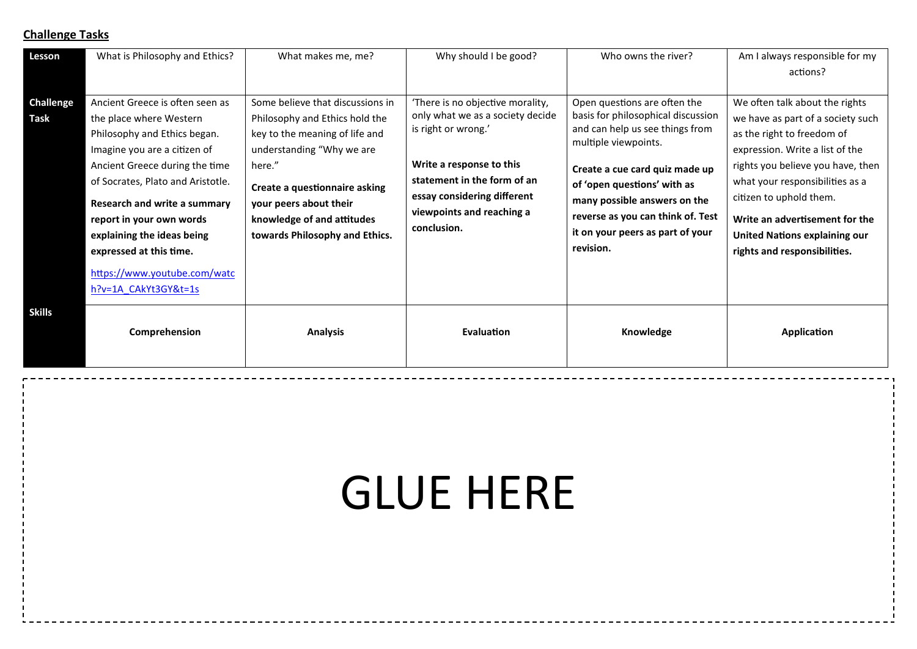| Lesson                   | What is Philosophy and Ethics?                                                                                                                                                                                                                                                                                                                                                 | What makes me, me?                                                                                                                                                                                                                                                     | Why should I be good?                                                                                                                                                                                                             | Who owns the river?                                                                                                                                                                                                                                                                                                  | Am I always responsible for my<br>actions?                                                                                                                                                                                                                                                                                                        |
|--------------------------|--------------------------------------------------------------------------------------------------------------------------------------------------------------------------------------------------------------------------------------------------------------------------------------------------------------------------------------------------------------------------------|------------------------------------------------------------------------------------------------------------------------------------------------------------------------------------------------------------------------------------------------------------------------|-----------------------------------------------------------------------------------------------------------------------------------------------------------------------------------------------------------------------------------|----------------------------------------------------------------------------------------------------------------------------------------------------------------------------------------------------------------------------------------------------------------------------------------------------------------------|---------------------------------------------------------------------------------------------------------------------------------------------------------------------------------------------------------------------------------------------------------------------------------------------------------------------------------------------------|
| <b>Challenge</b><br>Task | Ancient Greece is often seen as<br>the place where Western<br>Philosophy and Ethics began.<br>Imagine you are a citizen of<br>Ancient Greece during the time<br>of Socrates, Plato and Aristotle.<br>Research and write a summary<br>report in your own words<br>explaining the ideas being<br>expressed at this time.<br>https://www.youtube.com/watc<br>h?v=1A CAkYt3GY&t=1s | Some believe that discussions in<br>Philosophy and Ethics hold the<br>key to the meaning of life and<br>understanding "Why we are<br>here."<br>Create a questionnaire asking<br>your peers about their<br>knowledge of and attitudes<br>towards Philosophy and Ethics. | 'There is no objective morality,<br>only what we as a society decide<br>is right or wrong.'<br>Write a response to this<br>statement in the form of an<br>essay considering different<br>viewpoints and reaching a<br>conclusion. | Open questions are often the<br>basis for philosophical discussion<br>and can help us see things from<br>multiple viewpoints.<br>Create a cue card quiz made up<br>of 'open questions' with as<br>many possible answers on the<br>reverse as you can think of. Test<br>it on your peers as part of your<br>revision. | We often talk about the rights<br>we have as part of a society such<br>as the right to freedom of<br>expression. Write a list of the<br>rights you believe you have, then<br>what your responsibilities as a<br>citizen to uphold them.<br>Write an advertisement for the<br><b>United Nations explaining our</b><br>rights and responsibilities. |
| <b>Skills</b>            | Comprehension                                                                                                                                                                                                                                                                                                                                                                  | <b>Analysis</b>                                                                                                                                                                                                                                                        | Evaluation                                                                                                                                                                                                                        | Knowledge                                                                                                                                                                                                                                                                                                            | <b>Application</b>                                                                                                                                                                                                                                                                                                                                |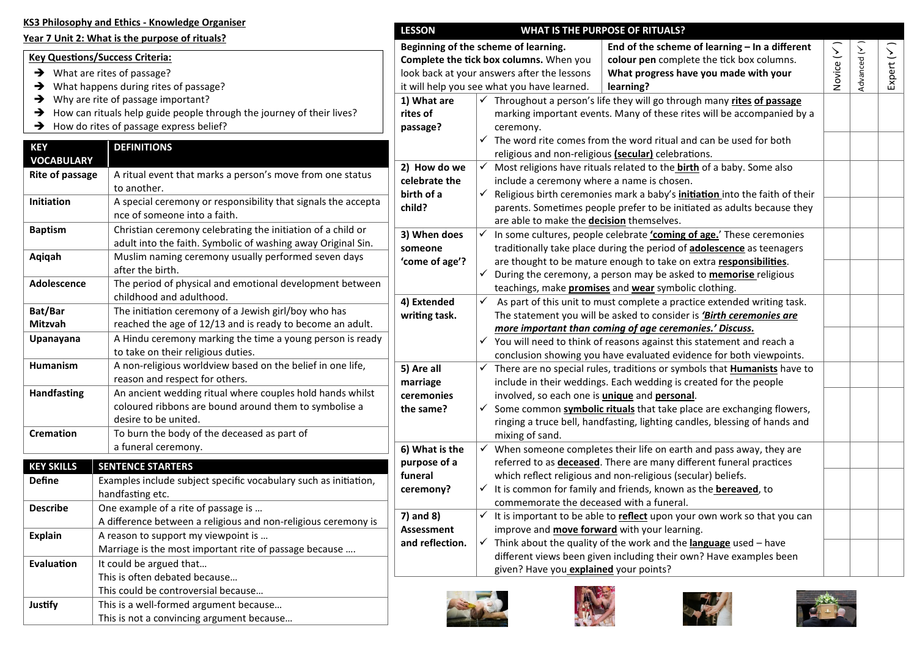|                    | KS3 Philosophy and Ethics - Knowledge Organiser                                                                           | <b>LESSON</b>   |                                                              | <b>WHAT IS THE PURPOSE OF RITUALS?</b>                                                                                                 |            |            |        |
|--------------------|---------------------------------------------------------------------------------------------------------------------------|-----------------|--------------------------------------------------------------|----------------------------------------------------------------------------------------------------------------------------------------|------------|------------|--------|
|                    | Year 7 Unit 2: What is the purpose of rituals?                                                                            |                 |                                                              |                                                                                                                                        |            |            |        |
|                    | <b>Key Questions/Success Criteria:</b>                                                                                    |                 | Beginning of the scheme of learning.                         | End of the scheme of learning $-$ In a different                                                                                       | Novice (V) | Advanced ( | $\sum$ |
|                    | $\rightarrow$ What are rites of passage?                                                                                  |                 | Complete the tick box columns. When you                      | colour pen complete the tick box columns.                                                                                              |            |            | Expert |
|                    | $\rightarrow$ What happens during rites of passage?                                                                       |                 | look back at your answers after the lessons                  | What progress have you made with your                                                                                                  |            |            |        |
|                    |                                                                                                                           |                 | it will help you see what you have learned.                  | learning?                                                                                                                              |            |            |        |
|                    | $\rightarrow$ Why are rite of passage important?<br>How can rituals help guide people through the journey of their lives? | 1) What are     |                                                              | √ Throughout a person's life they will go through many rites of passage                                                                |            |            |        |
|                    |                                                                                                                           | rites of        |                                                              | marking important events. Many of these rites will be accompanied by a                                                                 |            |            |        |
|                    | $\rightarrow$ How do rites of passage express belief?                                                                     | passage?        | ceremony.                                                    |                                                                                                                                        |            |            |        |
| <b>KEY</b>         | <b>DEFINITIONS</b>                                                                                                        |                 |                                                              | $\checkmark$ The word rite comes from the word ritual and can be used for both                                                         |            |            |        |
| <b>VOCABULARY</b>  |                                                                                                                           |                 |                                                              | religious and non-religious (secular) celebrations.                                                                                    |            |            |        |
| Rite of passage    | A ritual event that marks a person's move from one status                                                                 | 2) How do we    |                                                              | $\checkmark$ Most religions have rituals related to the <b>birth</b> of a baby. Some also                                              |            |            |        |
|                    | to another.                                                                                                               | celebrate the   | include a ceremony where a name is chosen.                   |                                                                                                                                        |            |            |        |
| Initiation         | A special ceremony or responsibility that signals the accepta                                                             | birth of a      |                                                              | Religious birth ceremonies mark a baby's <i>initiation</i> into the faith of their                                                     |            |            |        |
|                    | nce of someone into a faith.                                                                                              | child?          | are able to make the <b>decision</b> themselves.             | parents. Sometimes people prefer to be initiated as adults because they                                                                |            |            |        |
| <b>Baptism</b>     | Christian ceremony celebrating the initiation of a child or                                                               |                 |                                                              |                                                                                                                                        |            |            |        |
|                    | adult into the faith. Symbolic of washing away Original Sin.                                                              | 3) When does    |                                                              | In some cultures, people celebrate 'coming of age.' These ceremonies                                                                   |            |            |        |
| Aqiqah             | Muslim naming ceremony usually performed seven days                                                                       | someone         |                                                              | traditionally take place during the period of adolescence as teenagers                                                                 |            |            |        |
|                    | after the birth.                                                                                                          | 'come of age'?  |                                                              | are thought to be mature enough to take on extra responsibilities.                                                                     |            |            |        |
| <b>Adolescence</b> | The period of physical and emotional development between                                                                  |                 |                                                              | During the ceremony, a person may be asked to <b>memorise</b> religious                                                                |            |            |        |
|                    | childhood and adulthood.                                                                                                  | 4) Extended     |                                                              | teachings, make <b>promises</b> and wear symbolic clothing.<br>As part of this unit to must complete a practice extended writing task. |            |            |        |
| Bat/Bar            | The initiation ceremony of a Jewish girl/boy who has                                                                      |                 |                                                              | The statement you will be asked to consider is 'Birth ceremonies are                                                                   |            |            |        |
| <b>Mitzvah</b>     | reached the age of 12/13 and is ready to become an adult.                                                                 | writing task.   |                                                              | more important than coming of age ceremonies.' Discuss.                                                                                |            |            |        |
| Upanayana          | A Hindu ceremony marking the time a young person is ready                                                                 |                 |                                                              | $\checkmark$ You will need to think of reasons against this statement and reach a                                                      |            |            |        |
|                    | to take on their religious duties.                                                                                        |                 |                                                              | conclusion showing you have evaluated evidence for both viewpoints.                                                                    |            |            |        |
| <b>Humanism</b>    | A non-religious worldview based on the belief in one life,                                                                | 5) Are all      |                                                              | There are no special rules, traditions or symbols that <b>Humanists</b> have to                                                        |            |            |        |
|                    | reason and respect for others.                                                                                            | marriage        |                                                              | include in their weddings. Each wedding is created for the people                                                                      |            |            |        |
| <b>Handfasting</b> | An ancient wedding ritual where couples hold hands whilst                                                                 | ceremonies      | involved, so each one is <i>unique</i> and <i>personal</i> . |                                                                                                                                        |            |            |        |
|                    | coloured ribbons are bound around them to symbolise a                                                                     | the same?       |                                                              | $\checkmark$ Some common symbolic rituals that take place are exchanging flowers,                                                      |            |            |        |
|                    | desire to be united.                                                                                                      |                 |                                                              | ringing a truce bell, handfasting, lighting candles, blessing of hands and                                                             |            |            |        |
| <b>Cremation</b>   | To burn the body of the deceased as part of                                                                               |                 | mixing of sand.                                              |                                                                                                                                        |            |            |        |
|                    | a funeral ceremony.                                                                                                       | 6) What is the  |                                                              | $\checkmark$ When someone completes their life on earth and pass away, they are                                                        |            |            |        |
|                    |                                                                                                                           | purpose of a    |                                                              | referred to as <b>deceased</b> . There are many different funeral practices                                                            |            |            |        |
| <b>KEY SKILLS</b>  | <b>SENTENCE STARTERS</b>                                                                                                  | funeral         |                                                              | which reflect religious and non-religious (secular) beliefs.                                                                           |            |            |        |
| <b>Define</b>      | Examples include subject specific vocabulary such as initiation,                                                          | ceremony?       |                                                              | It is common for family and friends, known as the <b>bereaved</b> , to                                                                 |            |            |        |
|                    | handfasting etc.                                                                                                          |                 | commemorate the deceased with a funeral.                     |                                                                                                                                        |            |            |        |
| <b>Describe</b>    | One example of a rite of passage is                                                                                       | 7) and 8)       |                                                              | $\checkmark$ It is important to be able to reflect upon your own work so that you can                                                  |            |            |        |
|                    | A difference between a religious and non-religious ceremony is                                                            | Assessment      | improve and move forward with your learning.                 |                                                                                                                                        |            |            |        |
| <b>Explain</b>     | A reason to support my viewpoint is                                                                                       | and reflection. |                                                              | $\checkmark$ Think about the quality of the work and the <b>language</b> used – have                                                   |            |            |        |
|                    | Marriage is the most important rite of passage because                                                                    |                 |                                                              | different views been given including their own? Have examples been                                                                     |            |            |        |
| Evaluation         | It could be argued that                                                                                                   |                 | given? Have you explained your points?                       |                                                                                                                                        |            |            |        |
|                    | This is often debated because                                                                                             |                 |                                                              |                                                                                                                                        |            |            |        |
|                    | This could be controversial because                                                                                       |                 |                                                              |                                                                                                                                        |            |            |        |
| Justify            | This is a well-formed argument because                                                                                    |                 |                                                              |                                                                                                                                        |            |            |        |
|                    | This is not a convincing argument because                                                                                 |                 |                                                              |                                                                                                                                        |            |            |        |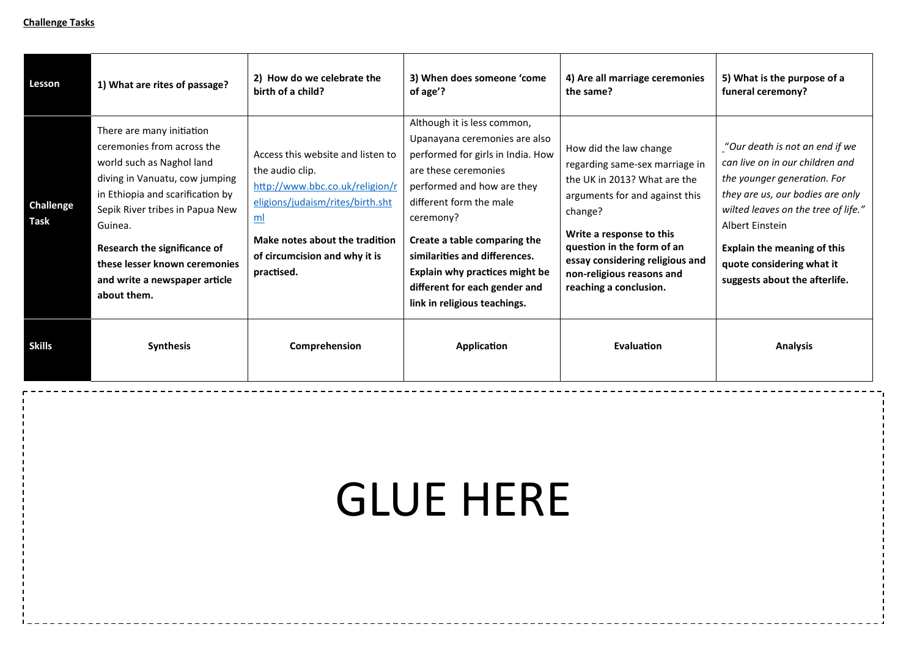| Lesson                          | 1) What are rites of passage?                                                                                                                                                                                                                                                                                             | 2) How do we celebrate the<br>birth of a child?                                                                                                                                                                    | 3) When does someone 'come<br>of age'?                                                                                                                                                                                                                                                                                                                              | 4) Are all marriage ceremonies<br>the same?                                                                                                                                                                                                                                               | 5) What is the purpose of a<br>funeral ceremony?                                                                                                                                                                                                                                                   |
|---------------------------------|---------------------------------------------------------------------------------------------------------------------------------------------------------------------------------------------------------------------------------------------------------------------------------------------------------------------------|--------------------------------------------------------------------------------------------------------------------------------------------------------------------------------------------------------------------|---------------------------------------------------------------------------------------------------------------------------------------------------------------------------------------------------------------------------------------------------------------------------------------------------------------------------------------------------------------------|-------------------------------------------------------------------------------------------------------------------------------------------------------------------------------------------------------------------------------------------------------------------------------------------|----------------------------------------------------------------------------------------------------------------------------------------------------------------------------------------------------------------------------------------------------------------------------------------------------|
| <b>Challenge</b><br><b>Task</b> | There are many initiation<br>ceremonies from across the<br>world such as Naghol land<br>diving in Vanuatu, cow jumping<br>in Ethiopia and scarification by<br>Sepik River tribes in Papua New<br>Guinea.<br>Research the significance of<br>these lesser known ceremonies<br>and write a newspaper article<br>about them. | Access this website and listen to<br>the audio clip.<br>http://www.bbc.co.uk/religion/r<br>eligions/judaism/rites/birth.sht<br>ml<br>Make notes about the tradition<br>of circumcision and why it is<br>practised. | Although it is less common,<br>Upanayana ceremonies are also<br>performed for girls in India. How<br>are these ceremonies<br>performed and how are they<br>different form the male<br>ceremony?<br>Create a table comparing the<br>similarities and differences.<br>Explain why practices might be<br>different for each gender and<br>link in religious teachings. | How did the law change<br>regarding same-sex marriage in<br>the UK in 2013? What are the<br>arguments for and against this<br>change?<br>Write a response to this<br>question in the form of an<br>essay considering religious and<br>non-religious reasons and<br>reaching a conclusion. | "Our death is not an end if we<br>can live on in our children and<br>the younger generation. For<br>they are us, our bodies are only<br>wilted leaves on the tree of life."<br>Albert Einstein<br><b>Explain the meaning of this</b><br>quote considering what it<br>suggests about the afterlife. |
| <b>Skills</b>                   | <b>Synthesis</b>                                                                                                                                                                                                                                                                                                          | Comprehension                                                                                                                                                                                                      | Application                                                                                                                                                                                                                                                                                                                                                         | Evaluation                                                                                                                                                                                                                                                                                | <b>Analysis</b>                                                                                                                                                                                                                                                                                    |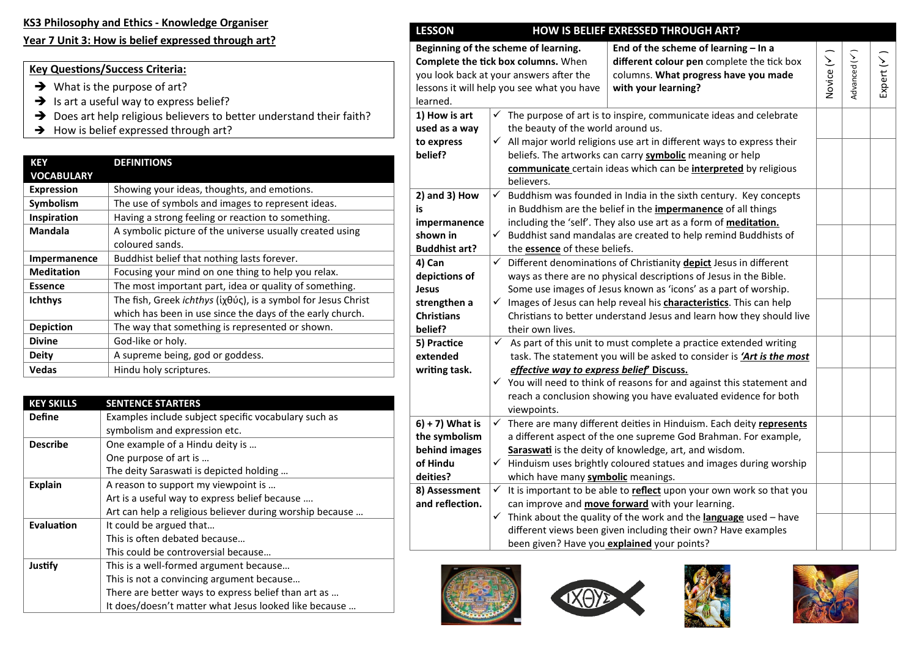#### **KS3 Philosophy and Ethics - Knowledge Organiser**

#### **Year 7 Unit 3: How is belief expressed through art?**

#### **Key Questions/Success Criteria:**

- $\rightarrow$  What is the purpose of art?
- $\rightarrow$  Is art a useful way to express belief?
- → Does art help religious believers to better understand their faith?
- $\rightarrow$  How is belief expressed through art?

| <b>KEY</b><br><b>VOCABULARY</b> | <b>DEFINITIONS</b>                                                                                                         |
|---------------------------------|----------------------------------------------------------------------------------------------------------------------------|
| <b>Expression</b>               | Showing your ideas, thoughts, and emotions.                                                                                |
| Symbolism                       | The use of symbols and images to represent ideas.                                                                          |
| Inspiration                     | Having a strong feeling or reaction to something.                                                                          |
| <b>Mandala</b>                  | A symbolic picture of the universe usually created using                                                                   |
|                                 | coloured sands.                                                                                                            |
| <b>Impermanence</b>             | Buddhist belief that nothing lasts forever.                                                                                |
| <b>Meditation</b>               | Focusing your mind on one thing to help you relax.                                                                         |
| <b>Essence</b>                  | The most important part, idea or quality of something.                                                                     |
| <b>Ichthys</b>                  | The fish, Greek ichthys (ίχθύς), is a symbol for Jesus Christ<br>which has been in use since the days of the early church. |
| <b>Depiction</b>                | The way that something is represented or shown.                                                                            |
| <b>Divine</b>                   | God-like or holy.                                                                                                          |
| Deity                           | A supreme being, god or goddess.                                                                                           |
| Vedas                           | Hindu holy scriptures.                                                                                                     |

| <b>KEY SKILLS</b> | <b>SENTENCE STARTERS</b>                                 |
|-------------------|----------------------------------------------------------|
| <b>Define</b>     | Examples include subject specific vocabulary such as     |
|                   | symbolism and expression etc.                            |
| <b>Describe</b>   | One example of a Hindu deity is                          |
|                   | One purpose of art is                                    |
|                   | The deity Saraswati is depicted holding                  |
| <b>Explain</b>    | A reason to support my viewpoint is                      |
|                   | Art is a useful way to express belief because            |
|                   | Art can help a religious believer during worship because |
| Evaluation        | It could be argued that                                  |
|                   | This is often debated because                            |
|                   | This could be controversial because                      |
| Justify           | This is a well-formed argument because                   |
|                   | This is not a convincing argument because                |
|                   | There are better ways to express belief than art as      |
|                   | It does/doesn't matter what Jesus looked like because    |

| Beginning of the scheme of learning.<br>End of the scheme of learning - In a<br>Advanced (V)<br>Novice (V<br>Expert (V<br>Complete the tick box columns. When<br>different colour pen complete the tick box<br>you look back at your answers after the<br>columns. What progress have you made<br>with your learning?<br>lessons it will help you see what you have<br>learned.<br>1) How is art<br>The purpose of art is to inspire, communicate ideas and celebrate<br>✓<br>the beauty of the world around us.<br>used as a way<br>$\checkmark$ All major world religions use art in different ways to express their<br>to express<br>beliefs. The artworks can carry symbolic meaning or help<br>belief?<br>communicate certain ideas which can be interpreted by religious<br>believers.<br>$2)$ and $3)$ How<br>$\checkmark$<br>Buddhism was founded in India in the sixth century. Key concepts<br>in Buddhism are the belief in the <i>impermanence</i> of all things<br>is<br>including the 'self'. They also use art as a form of <b>meditation</b> .<br>impermanence<br>$\checkmark$<br>Buddhist sand mandalas are created to help remind Buddhists of<br>shown in<br><b>Buddhist art?</b><br>the <b>essence</b> of these beliefs.<br>4) Can<br>$\checkmark$<br>Different denominations of Christianity depict Jesus in different<br>depictions of<br>ways as there are no physical descriptions of Jesus in the Bible. |
|-----------------------------------------------------------------------------------------------------------------------------------------------------------------------------------------------------------------------------------------------------------------------------------------------------------------------------------------------------------------------------------------------------------------------------------------------------------------------------------------------------------------------------------------------------------------------------------------------------------------------------------------------------------------------------------------------------------------------------------------------------------------------------------------------------------------------------------------------------------------------------------------------------------------------------------------------------------------------------------------------------------------------------------------------------------------------------------------------------------------------------------------------------------------------------------------------------------------------------------------------------------------------------------------------------------------------------------------------------------------------------------------------------------------------------------|
|                                                                                                                                                                                                                                                                                                                                                                                                                                                                                                                                                                                                                                                                                                                                                                                                                                                                                                                                                                                                                                                                                                                                                                                                                                                                                                                                                                                                                                   |
|                                                                                                                                                                                                                                                                                                                                                                                                                                                                                                                                                                                                                                                                                                                                                                                                                                                                                                                                                                                                                                                                                                                                                                                                                                                                                                                                                                                                                                   |
|                                                                                                                                                                                                                                                                                                                                                                                                                                                                                                                                                                                                                                                                                                                                                                                                                                                                                                                                                                                                                                                                                                                                                                                                                                                                                                                                                                                                                                   |
|                                                                                                                                                                                                                                                                                                                                                                                                                                                                                                                                                                                                                                                                                                                                                                                                                                                                                                                                                                                                                                                                                                                                                                                                                                                                                                                                                                                                                                   |
|                                                                                                                                                                                                                                                                                                                                                                                                                                                                                                                                                                                                                                                                                                                                                                                                                                                                                                                                                                                                                                                                                                                                                                                                                                                                                                                                                                                                                                   |
|                                                                                                                                                                                                                                                                                                                                                                                                                                                                                                                                                                                                                                                                                                                                                                                                                                                                                                                                                                                                                                                                                                                                                                                                                                                                                                                                                                                                                                   |
|                                                                                                                                                                                                                                                                                                                                                                                                                                                                                                                                                                                                                                                                                                                                                                                                                                                                                                                                                                                                                                                                                                                                                                                                                                                                                                                                                                                                                                   |
|                                                                                                                                                                                                                                                                                                                                                                                                                                                                                                                                                                                                                                                                                                                                                                                                                                                                                                                                                                                                                                                                                                                                                                                                                                                                                                                                                                                                                                   |
|                                                                                                                                                                                                                                                                                                                                                                                                                                                                                                                                                                                                                                                                                                                                                                                                                                                                                                                                                                                                                                                                                                                                                                                                                                                                                                                                                                                                                                   |
|                                                                                                                                                                                                                                                                                                                                                                                                                                                                                                                                                                                                                                                                                                                                                                                                                                                                                                                                                                                                                                                                                                                                                                                                                                                                                                                                                                                                                                   |
|                                                                                                                                                                                                                                                                                                                                                                                                                                                                                                                                                                                                                                                                                                                                                                                                                                                                                                                                                                                                                                                                                                                                                                                                                                                                                                                                                                                                                                   |
|                                                                                                                                                                                                                                                                                                                                                                                                                                                                                                                                                                                                                                                                                                                                                                                                                                                                                                                                                                                                                                                                                                                                                                                                                                                                                                                                                                                                                                   |
|                                                                                                                                                                                                                                                                                                                                                                                                                                                                                                                                                                                                                                                                                                                                                                                                                                                                                                                                                                                                                                                                                                                                                                                                                                                                                                                                                                                                                                   |
| Some use images of Jesus known as 'icons' as a part of worship.<br><b>Jesus</b>                                                                                                                                                                                                                                                                                                                                                                                                                                                                                                                                                                                                                                                                                                                                                                                                                                                                                                                                                                                                                                                                                                                                                                                                                                                                                                                                                   |
| Images of Jesus can help reveal his characteristics. This can help<br>strengthen a<br>✓                                                                                                                                                                                                                                                                                                                                                                                                                                                                                                                                                                                                                                                                                                                                                                                                                                                                                                                                                                                                                                                                                                                                                                                                                                                                                                                                           |
| <b>Christians</b><br>Christians to better understand Jesus and learn how they should live                                                                                                                                                                                                                                                                                                                                                                                                                                                                                                                                                                                                                                                                                                                                                                                                                                                                                                                                                                                                                                                                                                                                                                                                                                                                                                                                         |
| their own lives.<br>belief?                                                                                                                                                                                                                                                                                                                                                                                                                                                                                                                                                                                                                                                                                                                                                                                                                                                                                                                                                                                                                                                                                                                                                                                                                                                                                                                                                                                                       |
| $\checkmark$<br>As part of this unit to must complete a practice extended writing<br>5) Practice                                                                                                                                                                                                                                                                                                                                                                                                                                                                                                                                                                                                                                                                                                                                                                                                                                                                                                                                                                                                                                                                                                                                                                                                                                                                                                                                  |
| extended<br>task. The statement you will be asked to consider is 'Art is the most                                                                                                                                                                                                                                                                                                                                                                                                                                                                                                                                                                                                                                                                                                                                                                                                                                                                                                                                                                                                                                                                                                                                                                                                                                                                                                                                                 |
| effective way to express belief Discuss.<br>writing task.                                                                                                                                                                                                                                                                                                                                                                                                                                                                                                                                                                                                                                                                                                                                                                                                                                                                                                                                                                                                                                                                                                                                                                                                                                                                                                                                                                         |
| $\checkmark$ You will need to think of reasons for and against this statement and                                                                                                                                                                                                                                                                                                                                                                                                                                                                                                                                                                                                                                                                                                                                                                                                                                                                                                                                                                                                                                                                                                                                                                                                                                                                                                                                                 |
| reach a conclusion showing you have evaluated evidence for both                                                                                                                                                                                                                                                                                                                                                                                                                                                                                                                                                                                                                                                                                                                                                                                                                                                                                                                                                                                                                                                                                                                                                                                                                                                                                                                                                                   |
| viewpoints.                                                                                                                                                                                                                                                                                                                                                                                                                                                                                                                                                                                                                                                                                                                                                                                                                                                                                                                                                                                                                                                                                                                                                                                                                                                                                                                                                                                                                       |
| $6$ ) + 7) What is<br>There are many different deities in Hinduism. Each deity represents<br>$\checkmark$                                                                                                                                                                                                                                                                                                                                                                                                                                                                                                                                                                                                                                                                                                                                                                                                                                                                                                                                                                                                                                                                                                                                                                                                                                                                                                                         |
| the symbolism<br>a different aspect of the one supreme God Brahman. For example,                                                                                                                                                                                                                                                                                                                                                                                                                                                                                                                                                                                                                                                                                                                                                                                                                                                                                                                                                                                                                                                                                                                                                                                                                                                                                                                                                  |
| behind images<br>Saraswati is the deity of knowledge, art, and wisdom.                                                                                                                                                                                                                                                                                                                                                                                                                                                                                                                                                                                                                                                                                                                                                                                                                                                                                                                                                                                                                                                                                                                                                                                                                                                                                                                                                            |
| $\checkmark$ Hinduism uses brightly coloured statues and images during worship<br>of Hindu                                                                                                                                                                                                                                                                                                                                                                                                                                                                                                                                                                                                                                                                                                                                                                                                                                                                                                                                                                                                                                                                                                                                                                                                                                                                                                                                        |
| deities?<br>which have many symbolic meanings.                                                                                                                                                                                                                                                                                                                                                                                                                                                                                                                                                                                                                                                                                                                                                                                                                                                                                                                                                                                                                                                                                                                                                                                                                                                                                                                                                                                    |
| It is important to be able to reflect upon your own work so that you<br>8) Assessment<br>$\checkmark$                                                                                                                                                                                                                                                                                                                                                                                                                                                                                                                                                                                                                                                                                                                                                                                                                                                                                                                                                                                                                                                                                                                                                                                                                                                                                                                             |
| and reflection.<br>can improve and <b>move forward</b> with your learning.                                                                                                                                                                                                                                                                                                                                                                                                                                                                                                                                                                                                                                                                                                                                                                                                                                                                                                                                                                                                                                                                                                                                                                                                                                                                                                                                                        |
| ✓<br>Think about the quality of the work and the language used - have                                                                                                                                                                                                                                                                                                                                                                                                                                                                                                                                                                                                                                                                                                                                                                                                                                                                                                                                                                                                                                                                                                                                                                                                                                                                                                                                                             |
| different views been given including their own? Have examples                                                                                                                                                                                                                                                                                                                                                                                                                                                                                                                                                                                                                                                                                                                                                                                                                                                                                                                                                                                                                                                                                                                                                                                                                                                                                                                                                                     |
| been given? Have you explained your points?                                                                                                                                                                                                                                                                                                                                                                                                                                                                                                                                                                                                                                                                                                                                                                                                                                                                                                                                                                                                                                                                                                                                                                                                                                                                                                                                                                                       |







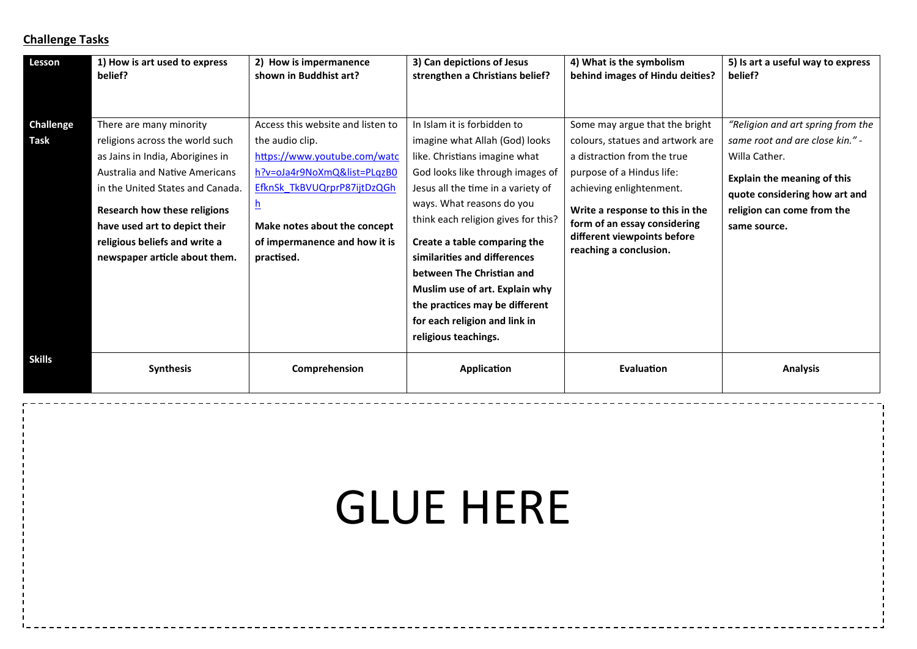| Lesson                   | 1) How is art used to express<br>belief?                                                                                                                                                                                                                                                                       | 2) How is impermanence<br>shown in Buddhist art?                                                                                                                                                                                              | 3) Can depictions of Jesus<br>strengthen a Christians belief?                                                                                                                                                                                                                                                                                                                                                                                                          | 4) What is the symbolism<br>behind images of Hindu deities?                                                                                                                                                                                                                            | 5) Is art a useful way to express<br>belief?                                                                                                                                                               |
|--------------------------|----------------------------------------------------------------------------------------------------------------------------------------------------------------------------------------------------------------------------------------------------------------------------------------------------------------|-----------------------------------------------------------------------------------------------------------------------------------------------------------------------------------------------------------------------------------------------|------------------------------------------------------------------------------------------------------------------------------------------------------------------------------------------------------------------------------------------------------------------------------------------------------------------------------------------------------------------------------------------------------------------------------------------------------------------------|----------------------------------------------------------------------------------------------------------------------------------------------------------------------------------------------------------------------------------------------------------------------------------------|------------------------------------------------------------------------------------------------------------------------------------------------------------------------------------------------------------|
| <b>Challenge</b><br>Task | There are many minority<br>religions across the world such<br>as Jains in India, Aborigines in<br>Australia and Native Americans<br>in the United States and Canada.<br><b>Research how these religions</b><br>have used art to depict their<br>religious beliefs and write a<br>newspaper article about them. | Access this website and listen to<br>the audio clip.<br>https://www.youtube.com/watc<br>h?v=oJa4r9NoXmQ&list=PLqzB0<br>EfknSk TkBVUQrprP87ijtDzQGh<br><u>h</u><br>Make notes about the concept<br>of impermanence and how it is<br>practised. | In Islam it is forbidden to<br>imagine what Allah (God) looks<br>like. Christians imagine what<br>God looks like through images of<br>Jesus all the time in a variety of<br>ways. What reasons do you<br>think each religion gives for this?<br>Create a table comparing the<br>similarities and differences<br>between The Christian and<br>Muslim use of art. Explain why<br>the practices may be different<br>for each religion and link in<br>religious teachings. | Some may argue that the bright<br>colours, statues and artwork are<br>a distraction from the true<br>purpose of a Hindus life:<br>achieving enlightenment.<br>Write a response to this in the<br>form of an essay considering<br>different viewpoints before<br>reaching a conclusion. | "Religion and art spring from the<br>same root and are close kin." -<br>Willa Cather.<br><b>Explain the meaning of this</b><br>quote considering how art and<br>religion can come from the<br>same source. |
| Skills                   | <b>Synthesis</b>                                                                                                                                                                                                                                                                                               | Comprehension                                                                                                                                                                                                                                 | Application                                                                                                                                                                                                                                                                                                                                                                                                                                                            | <b>Evaluation</b>                                                                                                                                                                                                                                                                      | <b>Analysis</b>                                                                                                                                                                                            |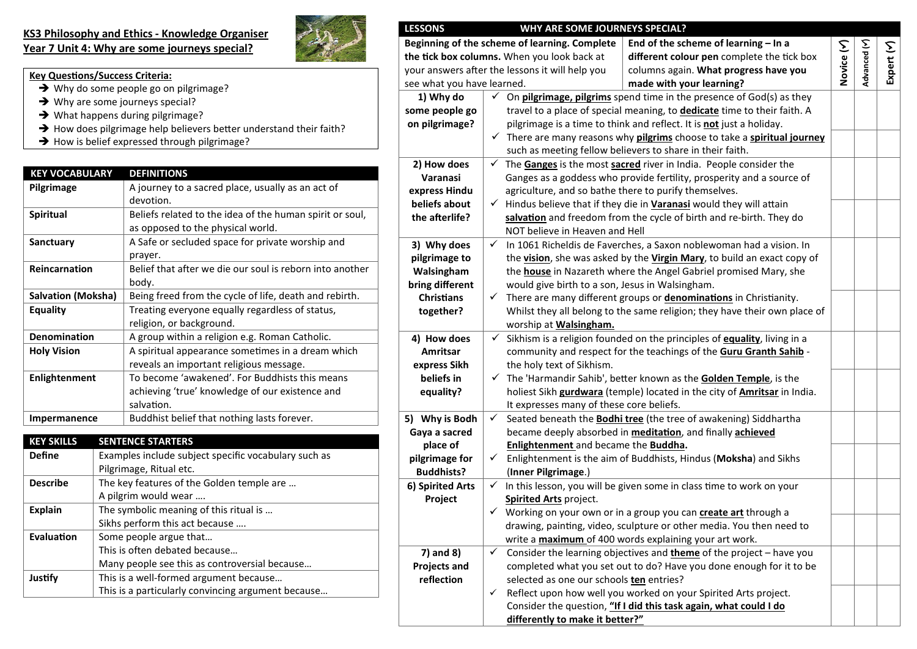#### **KS3 Philosophy and Ethics - Knowledge Organiser Year 7 Unit 4: Why are some journeys special?**



**Buddhists?**

**6) Spirited Arts Project**

**7) and 8) Projects and reflection**

(**Inner Pilgrimage**.)

**Spirited Arts** project.

| <b>LESSONS</b>             |              | WHY ARE SOME JOURNEYS SPECIAL?                        |                                                                                                   |            |              |
|----------------------------|--------------|-------------------------------------------------------|---------------------------------------------------------------------------------------------------|------------|--------------|
|                            |              | Beginning of the scheme of learning. Complete         | End of the scheme of learning - In a                                                              |            |              |
|                            |              | the tick box columns. When you look back at           | different colour pen complete the tick box                                                        | Novice (Y) | Advanced (Y) |
|                            |              | your answers after the lessons it will help you       | columns again. What progress have you                                                             |            |              |
| see what you have learned. |              |                                                       | made with your learning?                                                                          |            |              |
| 1) Why do                  | ✓            |                                                       | On <b>pilgrimage, pilgrims</b> spend time in the presence of God(s) as they                       |            |              |
| some people go             |              |                                                       | travel to a place of special meaning, to dedicate time to their faith. A                          |            |              |
| on pilgrimage?             |              |                                                       | pilgrimage is a time to think and reflect. It is not just a holiday.                              |            |              |
|                            |              |                                                       | $\checkmark$ There are many reasons why <b>pilgrims</b> choose to take a <b>spiritual journey</b> |            |              |
|                            |              |                                                       | such as meeting fellow believers to share in their faith.                                         |            |              |
| 2) How does                | ✓            |                                                       | The Ganges is the most sacred river in India. People consider the                                 |            |              |
| Varanasi                   |              |                                                       | Ganges as a goddess who provide fertility, prosperity and a source of                             |            |              |
| express Hindu              |              | agriculture, and so bathe there to purify themselves. |                                                                                                   |            |              |
| beliefs about              |              |                                                       | $\checkmark$ Hindus believe that if they die in Varanasi would they will attain                   |            |              |
| the afterlife?             |              |                                                       | salvation and freedom from the cycle of birth and re-birth. They do                               |            |              |
|                            |              | NOT believe in Heaven and Hell                        |                                                                                                   |            |              |
| 3) Why does                | $\checkmark$ |                                                       | In 1061 Richeldis de Faverches, a Saxon noblewoman had a vision. In                               |            |              |
| pilgrimage to              |              |                                                       | the vision, she was asked by the Virgin Mary, to build an exact copy of                           |            |              |
| Walsingham                 |              |                                                       | the house in Nazareth where the Angel Gabriel promised Mary, she                                  |            |              |
| bring different            |              | would give birth to a son, Jesus in Walsingham.       |                                                                                                   |            |              |
| <b>Christians</b>          | ✓            |                                                       | There are many different groups or denominations in Christianity.                                 |            |              |
| together?                  |              |                                                       | Whilst they all belong to the same religion; they have their own place of                         |            |              |
|                            |              | worship at <b>Walsingham.</b>                         |                                                                                                   |            |              |
| 4) How does                | $\checkmark$ |                                                       | Sikhism is a religion founded on the principles of equality, living in a                          |            |              |
| Amritsar                   |              |                                                       | community and respect for the teachings of the Guru Granth Sahib -                                |            |              |
| express Sikh               |              | the holy text of Sikhism.                             |                                                                                                   |            |              |
| beliefs in                 | $\checkmark$ |                                                       | The 'Harmandir Sahib', better known as the Golden Temple, is the                                  |            |              |
| equality?                  |              |                                                       | holiest Sikh gurdwara (temple) located in the city of Amritsar in India.                          |            |              |
|                            |              | It expresses many of these core beliefs.              |                                                                                                   |            |              |
| 5) Why is Bodh             | $\checkmark$ |                                                       | Seated beneath the <b>Bodhi tree</b> (the tree of awakening) Siddhartha                           |            |              |
| Gaya a sacred              |              |                                                       | became deeply absorbed in <b>meditation</b> , and finally <b>achieved</b>                         |            |              |
| place of                   |              | Enlightenment and became the Buddha.                  |                                                                                                   |            |              |
| pilgrimage for             | ✓            |                                                       | Enlightenment is the aim of Buddhists, Hindus (Moksha) and Sikhs                                  |            |              |

 $\checkmark$  In this lesson, you will be given some in class time to work on your

 Working on your own or in a group you can **create art** through a drawing, painting, video, sculpture or other media. You then need to

 $\checkmark$  Reflect upon how well you worked on your Spirited Arts project. Consider the question, **"If I did this task again, what could I do** 

 $\checkmark$  Consider the learning objectives and **theme** of the project – have you completed what you set out to do? Have you done enough for it to be

write a **maximum** of 400 words explaining your art work.

selected as one our schools **ten** entries?

**differently to make it better?"**

**Expert ()**

|--|

- $\rightarrow$  Why do some people go on pilgrimage?
- $\rightarrow$  Why are some journeys special?
- $\rightarrow$  What happens during pilgrimage?
- $\rightarrow$  How does pilgrimage help believers better understand their faith?
- $\rightarrow$  How is belief expressed through pilgrimage?

| <b>KEY VOCABULARY</b>     | <b>DEFINITIONS</b>                                       |  |  |  |
|---------------------------|----------------------------------------------------------|--|--|--|
| Pilgrimage                | A journey to a sacred place, usually as an act of        |  |  |  |
|                           | devotion.                                                |  |  |  |
| <b>Spiritual</b>          | Beliefs related to the idea of the human spirit or soul, |  |  |  |
|                           | as opposed to the physical world.                        |  |  |  |
| Sanctuary                 | A Safe or secluded space for private worship and         |  |  |  |
|                           | prayer.                                                  |  |  |  |
| Reincarnation             | Belief that after we die our soul is reborn into another |  |  |  |
|                           | body.                                                    |  |  |  |
| <b>Salvation (Moksha)</b> | Being freed from the cycle of life, death and rebirth.   |  |  |  |
| <b>Equality</b>           | Treating everyone equally regardless of status,          |  |  |  |
|                           | religion, or background.                                 |  |  |  |
| <b>Denomination</b>       | A group within a religion e.g. Roman Catholic.           |  |  |  |
| <b>Holy Vision</b>        | A spiritual appearance sometimes in a dream which        |  |  |  |
|                           | reveals an important religious message.                  |  |  |  |
| Enlightenment             | To become 'awakened'. For Buddhists this means           |  |  |  |
|                           | achieving 'true' knowledge of our existence and          |  |  |  |
|                           | salvation.                                               |  |  |  |
| Impermanence              | Buddhist belief that nothing lasts forever.              |  |  |  |

| <b>KEY SKILLS</b> | <b>SENTENCE STARTERS</b>                             |  |  |  |
|-------------------|------------------------------------------------------|--|--|--|
| <b>Define</b>     | Examples include subject specific vocabulary such as |  |  |  |
|                   | Pilgrimage, Ritual etc.                              |  |  |  |
| <b>Describe</b>   | The key features of the Golden temple are            |  |  |  |
|                   | A pilgrim would wear                                 |  |  |  |
| <b>Explain</b>    | The symbolic meaning of this ritual is               |  |  |  |
|                   | Sikhs perform this act because                       |  |  |  |
| Evaluation        | Some people argue that                               |  |  |  |
|                   | This is often debated because                        |  |  |  |
|                   | Many people see this as controversial because        |  |  |  |
| Justify           | This is a well-formed argument because               |  |  |  |
|                   | This is a particularly convincing argument because   |  |  |  |